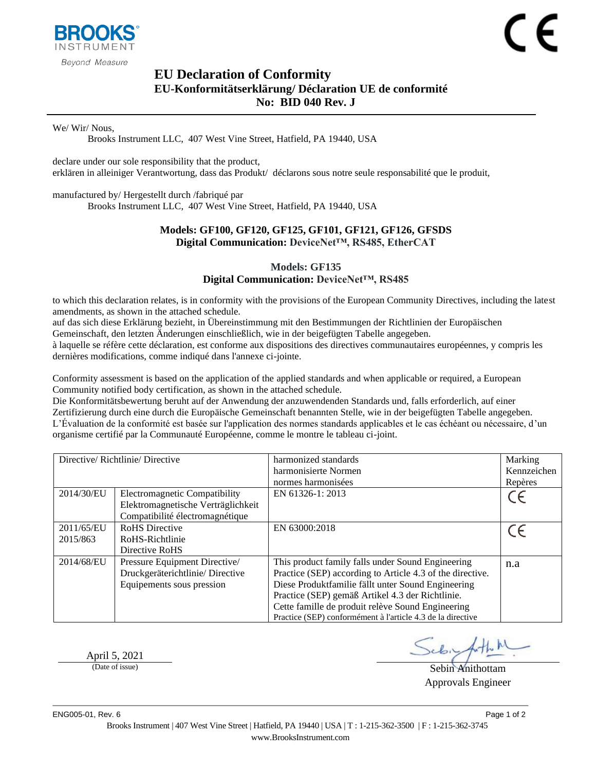

Beyond Measure

# <span id="page-0-1"></span><span id="page-0-0"></span>**EU Declaration of Conformity EU-Konformitätserklärung/ Déclaration UE de conformité No: BID 040 Rev. J**

We/ Wir/ Nous,

Brooks Instrument LLC, 407 West Vine Street, Hatfield, PA 19440, USA

declare under our sole responsibility that the product, erklären in alleiniger Verantwortung, dass das Produkt/ déclarons sous notre seule responsabilité que le produit,

manufactured by/ Hergestellt durch /fabriqué par Brooks Instrument LLC, 407 West Vine Street, Hatfield, PA 19440, USA

#### **Models: GF100, GF120, GF125, GF101, GF121, GF126, GFSDS Digital Communication: DeviceNet™, RS485, EtherCAT**

### **Models: GF135 Digital Communication: DeviceNet™, RS485**

to which this declaration relates, is in conformity with the provisions of the European Community Directives, including the latest amendments, as shown in the attached schedule.

auf das sich diese Erklärung bezieht, in Übereinstimmung mit den Bestimmungen der Richtlinien der Europäischen Gemeinschaft, den letzten Änderungen einschließlich, wie in der beigefügten Tabelle angegeben.

à laquelle se réfère cette déclaration, est conforme aux dispositions des directives communautaires européennes, y compris les dernières modifications, comme indiqué dans l'annexe ci-jointe.

Conformity assessment is based on the application of the applied standards and when applicable or required, a European Community notified body certification, as shown in the attached schedule.

Die Konformitätsbewertung beruht auf der Anwendung der anzuwendenden Standards und, falls erforderlich, auf einer Zertifizierung durch eine durch die Europäische Gemeinschaft benannten Stelle, wie in der beigefügten Tabelle angegeben. L'Évaluation de la conformité est basée sur l'application des normes standards applicables et le cas échéant ou nécessaire, d'un organisme certifié par la Communauté Européenne, comme le montre le tableau ci-joint.

| Directive/Richtlinie/Directive |                                    | harmonized standards                                        | Marking     |
|--------------------------------|------------------------------------|-------------------------------------------------------------|-------------|
|                                |                                    | harmonisierte Normen                                        | Kennzeichen |
|                                |                                    | normes harmonisées                                          | Repères     |
| 2014/30/EU                     | Electromagnetic Compatibility      | EN 61326-1: 2013                                            | CE          |
|                                | Elektromagnetische Verträglichkeit |                                                             |             |
|                                | Compatibilité électromagnétique    |                                                             |             |
| 2011/65/EU                     | <b>RoHS</b> Directive              | EN 63000:2018                                               | CE          |
| 2015/863                       | RoHS-Richtlinie                    |                                                             |             |
|                                | Directive RoHS                     |                                                             |             |
| 2014/68/EU                     | Pressure Equipment Directive/      | This product family falls under Sound Engineering           | n.a         |
|                                | Druckgeräterichtlinie/Directive    | Practice (SEP) according to Article 4.3 of the directive.   |             |
|                                | Equipements sous pression          | Diese Produktfamilie fällt unter Sound Engineering          |             |
|                                |                                    | Practice (SEP) gemäß Artikel 4.3 der Richtlinie.            |             |
|                                |                                    | Cette famille de produit relève Sound Engineering           |             |
|                                |                                    | Practice (SEP) conformément à l'article 4.3 de la directive |             |

April 5, 2021

(Date of issue) Sebin Anithottam Approvals Engineer

ENG005-01, Rev. 6 Page 1 of 2

Brooks Instrument | 407 West Vine Street | Hatfield, PA 19440 | USA | T : 1-215-362-3500 | F : 1-215-362-3745 www.BrooksInstrument.com